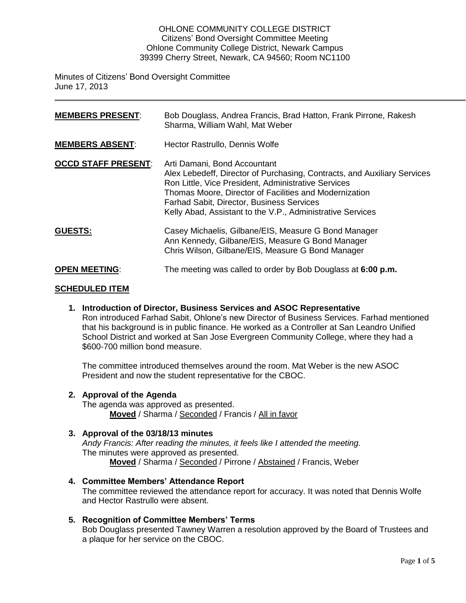#### OHLONE COMMUNITY COLLEGE DISTRICT Citizens' Bond Oversight Committee Meeting Ohlone Community College District, Newark Campus 39399 Cherry Street, Newark, CA 94560; Room NC1100

Minutes of Citizens' Bond Oversight Committee June 17, 2013

| <b>MEMBERS PRESENT:</b>    | Bob Douglass, Andrea Francis, Brad Hatton, Frank Pirrone, Rakesh<br>Sharma, William Wahl, Mat Weber                                                                                                                                                                                                                                         |
|----------------------------|---------------------------------------------------------------------------------------------------------------------------------------------------------------------------------------------------------------------------------------------------------------------------------------------------------------------------------------------|
| <b>MEMBERS ABSENT:</b>     | Hector Rastrullo, Dennis Wolfe                                                                                                                                                                                                                                                                                                              |
| <b>OCCD STAFF PRESENT:</b> | Arti Damani, Bond Accountant<br>Alex Lebedeff, Director of Purchasing, Contracts, and Auxiliary Services<br>Ron Little, Vice President, Administrative Services<br>Thomas Moore, Director of Facilities and Modernization<br><b>Farhad Sabit, Director, Business Services</b><br>Kelly Abad, Assistant to the V.P., Administrative Services |
| <b>GUESTS:</b>             | Casey Michaelis, Gilbane/EIS, Measure G Bond Manager<br>Ann Kennedy, Gilbane/EIS, Measure G Bond Manager<br>Chris Wilson, Gilbane/EIS, Measure G Bond Manager                                                                                                                                                                               |
| <b>OPEN MEETING:</b>       | The meeting was called to order by Bob Douglass at 6:00 p.m.                                                                                                                                                                                                                                                                                |

### **SCHEDULED ITEM**

**1. Introduction of Director, Business Services and ASOC Representative** Ron introduced Farhad Sabit, Ohlone's new Director of Business Services. Farhad mentioned that his background is in public finance. He worked as a Controller at San Leandro Unified School District and worked at San Jose Evergreen Community College, where they had a \$600-700 million bond measure.

The committee introduced themselves around the room. Mat Weber is the new ASOC President and now the student representative for the CBOC.

#### **2. Approval of the Agenda**

The agenda was approved as presented. **Moved** / Sharma / Seconded / Francis / All in favor

# **3. Approval of the 03/18/13 minutes**

*Andy Francis: After reading the minutes, it feels like I attended the meeting.*  The minutes were approved as presented. **Moved** / Sharma / Seconded / Pirrone / Abstained / Francis, Weber

# **4. Committee Members' Attendance Report**

The committee reviewed the attendance report for accuracy. It was noted that Dennis Wolfe and Hector Rastrullo were absent.

# **5. Recognition of Committee Members' Terms**

Bob Douglass presented Tawney Warren a resolution approved by the Board of Trustees and a plaque for her service on the CBOC.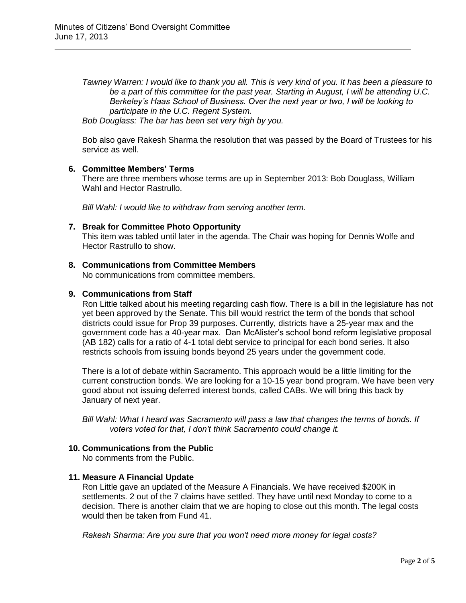*Tawney Warren: I would like to thank you all. This is very kind of you. It has been a pleasure to be a part of this committee for the past year. Starting in August, I will be attending U.C. Berkeley's Haas School of Business. Over the next year or two, I will be looking to participate in the U.C. Regent System.* 

*Bob Douglass: The bar has been set very high by you.* 

Bob also gave Rakesh Sharma the resolution that was passed by the Board of Trustees for his service as well.

#### **6. Committee Members' Terms**

There are three members whose terms are up in September 2013: Bob Douglass, William Wahl and Hector Rastrullo.

*Bill Wahl: I would like to withdraw from serving another term.* 

#### **7. Break for Committee Photo Opportunity**

This item was tabled until later in the agenda. The Chair was hoping for Dennis Wolfe and Hector Rastrullo to show.

#### **8. Communications from Committee Members**

No communications from committee members.

#### **9. Communications from Staff**

Ron Little talked about his meeting regarding cash flow. There is a bill in the legislature has not yet been approved by the Senate. This bill would restrict the term of the bonds that school districts could issue for Prop 39 purposes. Currently, districts have a 25-year max and the government code has a 40-year max. Dan McAlister's school bond reform legislative proposal (AB 182) calls for a ratio of 4-1 total debt service to principal for each bond series. It also restricts schools from issuing bonds beyond 25 years under the government code.

There is a lot of debate within Sacramento. This approach would be a little limiting for the current construction bonds. We are looking for a 10-15 year bond program. We have been very good about not issuing deferred interest bonds, called CABs. We will bring this back by January of next year.

*Bill Wahl: What I heard was Sacramento will pass a law that changes the terms of bonds. If voters voted for that, I don't think Sacramento could change it.* 

#### **10. Communications from the Public**

No comments from the Public.

#### **11. Measure A Financial Update**

Ron Little gave an updated of the Measure A Financials. We have received \$200K in settlements. 2 out of the 7 claims have settled. They have until next Monday to come to a decision. There is another claim that we are hoping to close out this month. The legal costs would then be taken from Fund 41.

*Rakesh Sharma: Are you sure that you won't need more money for legal costs?*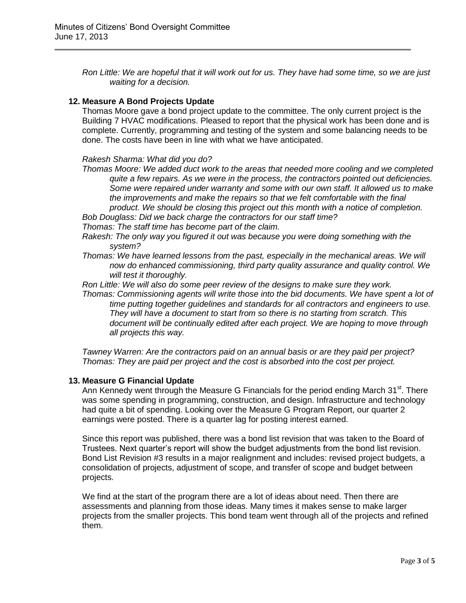*Ron Little: We are hopeful that it will work out for us. They have had some time, so we are just waiting for a decision.* 

### **12. Measure A Bond Projects Update**

Thomas Moore gave a bond project update to the committee. The only current project is the Building 7 HVAC modifications. Pleased to report that the physical work has been done and is complete. Currently, programming and testing of the system and some balancing needs to be done. The costs have been in line with what we have anticipated.

#### *Rakesh Sharma: What did you do?*

*Thomas Moore: We added duct work to the areas that needed more cooling and we completed quite a few repairs. As we were in the process, the contractors pointed out deficiencies. Some were repaired under warranty and some with our own staff. It allowed us to make the improvements and make the repairs so that we felt comfortable with the final product. We should be closing this project out this month with a notice of completion.* 

*Bob Douglass: Did we back charge the contractors for our staff time? Thomas: The staff time has become part of the claim.* 

- *Rakesh: The only way you figured it out was because you were doing something with the system?*
- *Thomas: We have learned lessons from the past, especially in the mechanical areas. We will now do enhanced commissioning, third party quality assurance and quality control. We will test it thoroughly.*

*Ron Little: We will also do some peer review of the designs to make sure they work.* 

*Thomas: Commissioning agents will write those into the bid documents. We have spent a lot of time putting together guidelines and standards for all contractors and engineers to use. They will have a document to start from so there is no starting from scratch. This document will be continually edited after each project. We are hoping to move through all projects this way.* 

*Tawney Warren: Are the contractors paid on an annual basis or are they paid per project? Thomas: They are paid per project and the cost is absorbed into the cost per project.* 

# **13. Measure G Financial Update**

Ann Kennedy went through the Measure G Financials for the period ending March 31<sup>st</sup>. There was some spending in programming, construction, and design. Infrastructure and technology had quite a bit of spending. Looking over the Measure G Program Report, our quarter 2 earnings were posted. There is a quarter lag for posting interest earned.

Since this report was published, there was a bond list revision that was taken to the Board of Trustees. Next quarter's report will show the budget adjustments from the bond list revision. Bond List Revision #3 results in a major realignment and includes: revised project budgets, a consolidation of projects, adjustment of scope, and transfer of scope and budget between projects.

We find at the start of the program there are a lot of ideas about need. Then there are assessments and planning from those ideas. Many times it makes sense to make larger projects from the smaller projects. This bond team went through all of the projects and refined them.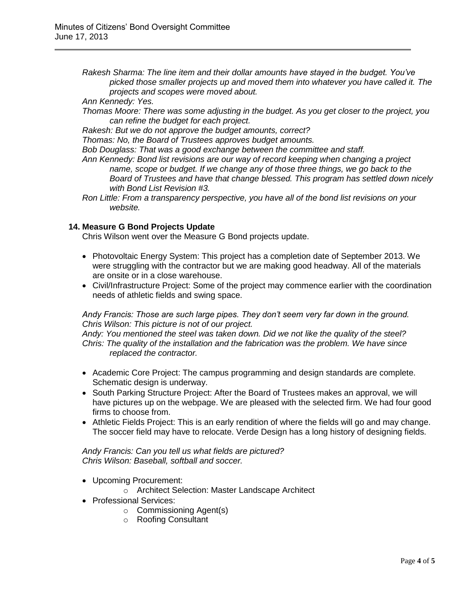*Rakesh Sharma: The line item and their dollar amounts have stayed in the budget. You've picked those smaller projects up and moved them into whatever you have called it. The projects and scopes were moved about.* 

*Ann Kennedy: Yes.* 

*Thomas Moore: There was some adjusting in the budget. As you get closer to the project, you can refine the budget for each project.*

*Rakesh: But we do not approve the budget amounts, correct?* 

*Thomas: No, the Board of Trustees approves budget amounts.* 

*Bob Douglass: That was a good exchange between the committee and staff.* 

- *Ann Kennedy: Bond list revisions are our way of record keeping when changing a project name, scope or budget. If we change any of those three things, we go back to the Board of Trustees and have that change blessed. This program has settled down nicely with Bond List Revision #3.*
- *Ron Little: From a transparency perspective, you have all of the bond list revisions on your website.*

### **14. Measure G Bond Projects Update**

Chris Wilson went over the Measure G Bond projects update.

- Photovoltaic Energy System: This project has a completion date of September 2013. We were struggling with the contractor but we are making good headway. All of the materials are onsite or in a close warehouse.
- Civil/Infrastructure Project: Some of the project may commence earlier with the coordination needs of athletic fields and swing space.

#### *Andy Francis: Those are such large pipes. They don't seem very far down in the ground. Chris Wilson: This picture is not of our project.*

*Andy: You mentioned the steel was taken down. Did we not like the quality of the steel? Chris: The quality of the installation and the fabrication was the problem. We have since replaced the contractor.* 

- Academic Core Project: The campus programming and design standards are complete. Schematic design is underway.
- South Parking Structure Project: After the Board of Trustees makes an approval, we will have pictures up on the webpage. We are pleased with the selected firm. We had four good firms to choose from.
- Athletic Fields Project: This is an early rendition of where the fields will go and may change. The soccer field may have to relocate. Verde Design has a long history of designing fields.

*Andy Francis: Can you tell us what fields are pictured? Chris Wilson: Baseball, softball and soccer.* 

Upcoming Procurement:

o Architect Selection: Master Landscape Architect

- Professional Services:
	- o Commissioning Agent(s)
	- o Roofing Consultant